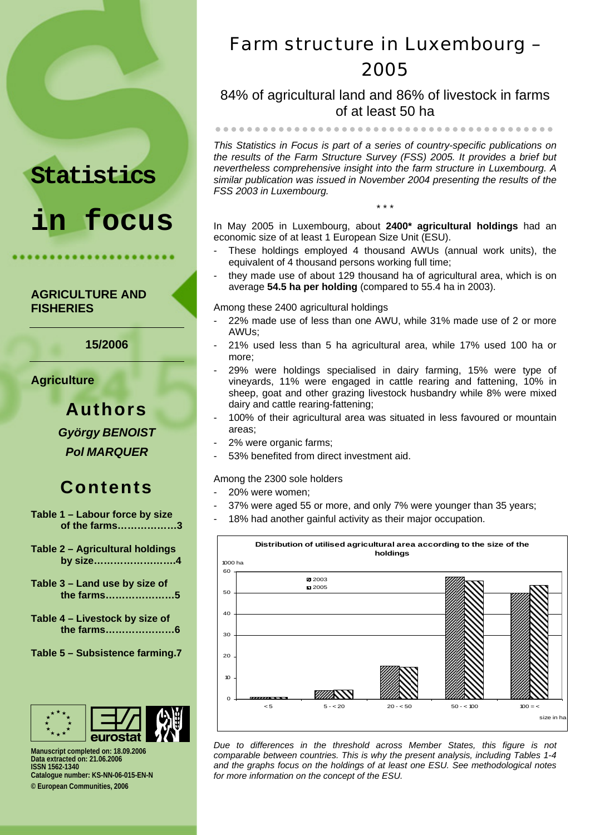# **Statistics**

# **in focus**

#### **AGRICULTURE AND FISHERIES**

**15/2006** 

**Agriculture** 

**Authors**  *György BENOIST Pol MARQUER* 

## **Contents**

**Table 1 – Labour force by size of the farms………………3**

- **Table 2 Agricultural holdings by size…………………….4**
- **Table 3 Land use by size of the farms…………………5**
- **Table 4 Livestock by size of the farms…………………6**
- **Table 5 Subsistence farming.7**



**Manuscript completed on: 18.09.2006 Data extracted on: 21.06.2006 ISSN 1562-1340 Catalogue number: KS-NN-06-015-EN-N © European Communities, 2006** 

# Farm structure in Luxembourg – 2005

84% of agricultural land and 86% of livestock in farms of at least 50 ha

zzzzzzzzzzzzzzzzzzzzzzzzzzzzzzzzzzzzzzzzzzz

*This Statistics in Focus is part of a series of country-specific publications on the results of the Farm Structure Survey (FSS) 2005. It provides a brief but nevertheless comprehensive insight into the farm structure in Luxembourg. A similar publication was issued in November 2004 presenting the results of the FSS 2003 in Luxembourg.* 

In May 2005 in Luxembourg, about **2400\* agricultural holdings** had an economic size of at least 1 European Size Unit (ESU).

\* \* \*

- These holdings employed 4 thousand AWUs (annual work units), the equivalent of 4 thousand persons working full time;
- they made use of about 129 thousand ha of agricultural area, which is on average **54.5 ha per holding** (compared to 55.4 ha in 2003).

Among these 2400 agricultural holdings

- 22% made use of less than one AWU, while 31% made use of 2 or more AWUs;
- 21% used less than 5 ha agricultural area, while 17% used 100 ha or more;
- 29% were holdings specialised in dairy farming, 15% were type of vineyards, 11% were engaged in cattle rearing and fattening, 10% in sheep, goat and other grazing livestock husbandry while 8% were mixed dairy and cattle rearing-fattening;
- 100% of their agricultural area was situated in less favoured or mountain areas;
- 2% were organic farms:
- 53% benefited from direct investment aid.

#### Among the 2300 sole holders

- 20% were women;
- 37% were aged 55 or more, and only 7% were younger than 35 years;
- 18% had another gainful activity as their major occupation.



*Due to differences in the threshold across Member States, this figure is not comparable between countries. This is why the present analysis, including Tables 1-4 and the graphs focus on the holdings of at least one ESU. See methodological notes for more information on the concept of the ESU.*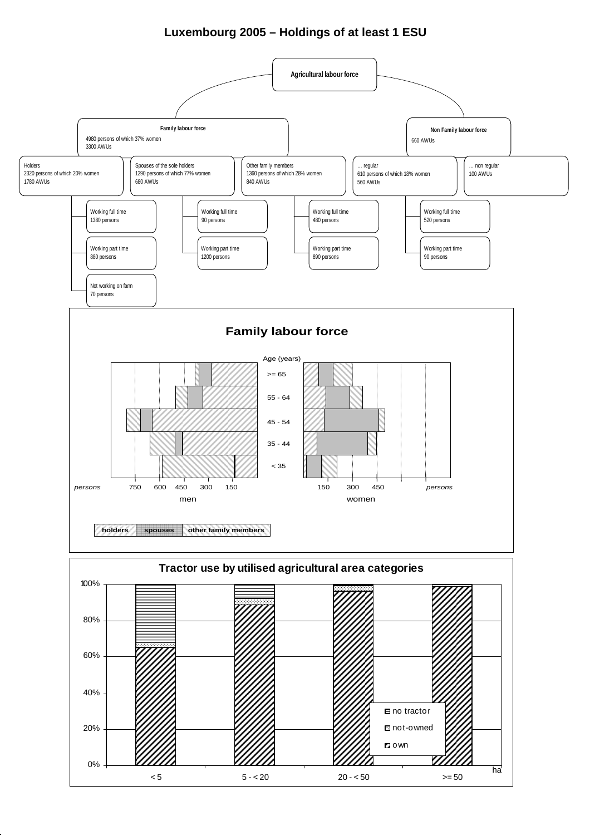#### **Luxembourg 2005 – Holdings of at least 1 ESU**

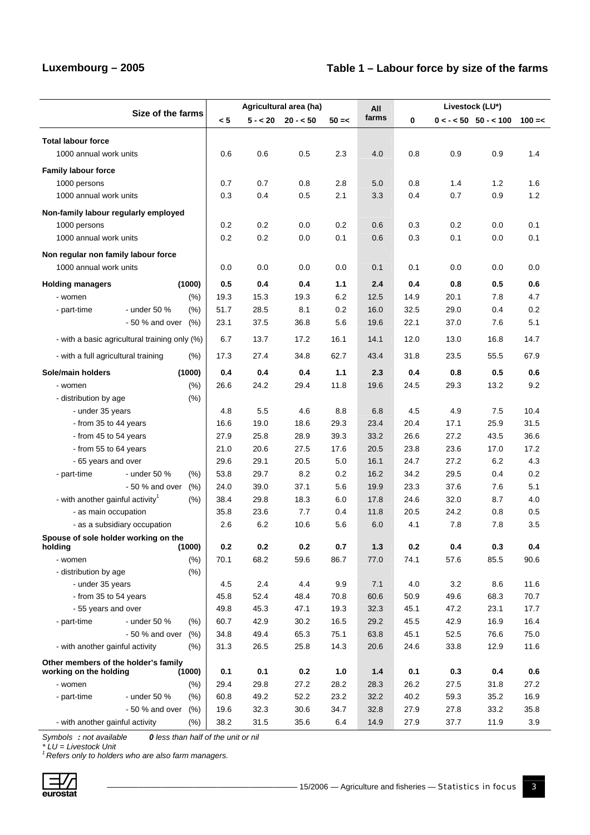### **Luxembourg – 2005 Table 1 – Labour force by size of the farms**

|                                               |                   |              |                 | Agricultural area (ha) |             | All         | Livestock (LU*) |             |                           |      |             |
|-----------------------------------------------|-------------------|--------------|-----------------|------------------------|-------------|-------------|-----------------|-------------|---------------------------|------|-------------|
|                                               | Size of the farms |              | < 5             | $5 - 20$               | $20 - 50$   | $50 = <$    | farms           | 0           | $0 < - < 50$ 50 - $< 100$ |      | $100 = <$   |
| <b>Total labour force</b>                     |                   |              |                 |                        |             |             |                 |             |                           |      |             |
| 1000 annual work units                        |                   |              | 0.6             | 0.6                    | 0.5         | 2.3         | 4.0             | 0.8         | 0.9                       | 0.9  | 1.4         |
| <b>Family labour force</b>                    |                   |              |                 |                        |             |             |                 |             |                           |      |             |
| 1000 persons                                  |                   |              | 0.7             | 0.7                    | 0.8         | 2.8         | 5.0             | 0.8         | 1.4                       | 1.2  | 1.6         |
| 1000 annual work units                        |                   |              | 0.3             | 0.4                    | 0.5         | 2.1         | 3.3             | 0.4         | 0.7                       | 0.9  | 1.2         |
| Non-family labour regularly employed          |                   |              |                 |                        |             |             |                 |             |                           |      |             |
| 1000 persons                                  |                   |              | 0.2             | 0.2                    | 0.0         | 0.2         | 0.6             | 0.3         | 0.2                       | 0.0  | 0.1         |
| 1000 annual work units                        |                   |              | 0.2             | 0.2                    | 0.0         | 0.1         | 0.6             | 0.3         | 0.1                       | 0.0  | 0.1         |
| Non regular non family labour force           |                   |              |                 |                        |             |             |                 |             |                           |      |             |
| 1000 annual work units                        |                   |              | 0.0             | 0.0                    | 0.0         | 0.0         | 0.1             | 0.1         | 0.0                       | 0.0  | 0.0         |
| <b>Holding managers</b>                       |                   | (1000)       | 0.5             | 0.4                    | 0.4         | 1.1         | 2.4             | 0.4         | 0.8                       | 0.5  | 0.6         |
| - women                                       |                   | (% )         | 19.3            | 15.3                   | 19.3        | 6.2         | 12.5            | 14.9        | 20.1                      | 7.8  | 4.7         |
| - part-time                                   | - under 50 %      | (% )         | 51.7            | 28.5                   | 8.1         | 0.2         | 16.0            | 32.5        | 29.0                      | 0.4  | 0.2         |
|                                               | - 50 % and over   | (% )         | 23.1            | 37.5                   | 36.8        | 5.6         | 19.6            | 22.1        | 37.0                      | 7.6  | 5.1         |
| - with a basic agricultural training only (%) |                   |              | 6.7             | 13.7                   | 17.2        | 16.1        | 14.1            | 12.0        | 13.0                      | 16.8 | 14.7        |
| - with a full agricultural training           |                   | $(\% )$      | 17.3            | 27.4                   | 34.8        | 62.7        | 43.4            | 31.8        | 23.5                      | 55.5 | 67.9        |
| Sole/main holders                             |                   | (1000)       | 0.4             | 0.4                    | 0.4         | 1.1         | 2.3             | 0.4         | 0.8                       | 0.5  | 0.6         |
| - women                                       |                   | (% )         | 26.6            | 24.2                   | 29.4        | 11.8        | 19.6            | 24.5        | 29.3                      | 13.2 | 9.2         |
| - distribution by age                         |                   | (% )         |                 |                        |             |             |                 |             |                           |      |             |
| - under 35 years                              |                   |              | 4.8             | 5.5                    | 4.6         | 8.8         | 6.8             | 4.5         | 4.9                       | 7.5  | 10.4        |
| - from 35 to 44 years                         |                   |              | 16.6            | 19.0                   | 18.6        | 29.3        | 23.4            | 20.4        | 17.1                      | 25.9 | 31.5        |
| - from 45 to 54 years                         |                   | 27.9         | 25.8            | 28.9                   | 39.3        | 33.2        | 26.6            | 27.2        | 43.5                      | 36.6 |             |
| - from 55 to 64 years                         |                   |              | 21.0            | 20.6                   | 27.5        | 17.6        | 20.5            | 23.8        | 23.6                      | 17.0 | 17.2        |
| - 65 years and over                           |                   |              | 29.6            | 29.1                   | 20.5        | 5.0         | 16.1            | 24.7        | 27.2                      | 6.2  | 4.3         |
| - part-time                                   | - under 50 %      | (% )         | 53.8            | 29.7                   | 8.2         | 0.2         | 16.2            | 34.2        | 29.5                      | 0.4  | 0.2         |
|                                               | - 50 % and over   | (% )         | 24.0            | 39.0                   | 37.1        | 5.6         | 19.9            | 23.3        | 37.6                      | 7.6  | 5.1         |
| - with another gainful activity <sup>1</sup>  |                   | (% )         | 38.4            | 29.8                   | 18.3        | 6.0         | 17.8            | 24.6        | 32.0                      | 8.7  | 4.0         |
| - as main occupation                          |                   |              | 35.8            | 23.6                   | 7.7         | 0.4         | 11.8            | 20.5        | 24.2                      | 0.8  | 0.5         |
| - as a subsidiary occupation                  |                   |              | 2.6             | 6.2                    | 10.6        | 5.6         | 6.0             | 4.1         | 7.8                       | 7.8  | 3.5         |
| Spouse of sole holder working on the          |                   |              |                 |                        |             |             |                 |             |                           |      |             |
| holding                                       |                   | (1000)       | $0.2\,$<br>70.1 | 0.2<br>68.2            | 0.2<br>59.6 | 0.7<br>86.7 | $1.3$<br>77.0   | 0.2<br>74.1 | 0.4                       | 0.3  | 0.4<br>90.6 |
| - women<br>- distribution by age              |                   | (% )<br>(% ) |                 |                        |             |             |                 |             | 57.6                      | 85.5 |             |
| - under 35 years                              |                   |              | 4.5             | 2.4                    | 4.4         | 9.9         | 7.1             | 4.0         | 3.2                       | 8.6  | 11.6        |
| - from 35 to 54 years                         |                   |              | 45.8            | 52.4                   | 48.4        | 70.8        | 60.6            | 50.9        | 49.6                      | 68.3 | 70.7        |
| - 55 years and over                           |                   |              | 49.8            | 45.3                   | 47.1        | 19.3        | 32.3            | 45.1        | 47.2                      | 23.1 | 17.7        |
| - part-time                                   | - under 50 %      | (% )         | 60.7            | 42.9                   | 30.2        | 16.5        | 29.2            | 45.5        | 42.9                      | 16.9 | 16.4        |
|                                               | - 50 % and over   | (% )         | 34.8            | 49.4                   | 65.3        | 75.1        | 63.8            | 45.1        | 52.5                      | 76.6 | 75.0        |
| - with another gainful activity               |                   | (% )         | 31.3            | 26.5                   | 25.8        | 14.3        | 20.6            | 24.6        | 33.8                      | 12.9 | 11.6        |
| Other members of the holder's family          |                   |              |                 |                        |             |             |                 |             |                           |      |             |
| working on the holding                        |                   | (1000)       | 0.1             | 0.1                    | 0.2         | 1.0         | $1.4$           | 0.1         | 0.3                       | 0.4  | 0.6         |
| - women                                       |                   | $(\%)$       | 29.4            | 29.8                   | 27.2        | 28.2        | 28.3            | 26.2        | 27.5                      | 31.8 | 27.2        |
| - part-time                                   | - under 50 %      | (% )         | 60.8            | 49.2                   | 52.2        | 23.2        | 32.2            | 40.2        | 59.3                      | 35.2 | 16.9        |
|                                               | - 50 % and over   | (% )         | 19.6            | 32.3                   | 30.6        | 34.7        | 32.8            | 27.9        | 27.8                      | 33.2 | 35.8        |
| - with another gainful activity               |                   | (% )         | 38.2            | 31.5                   | 35.6        | 6.4         | 14.9            | 27.9        | 37.7                      | 11.9 | 3.9         |

*Symbols : not available 0 less than half of the unit or nil* 

*\* LU = Livestock Unit 1 Refers only to holders who are also farm managers.* 

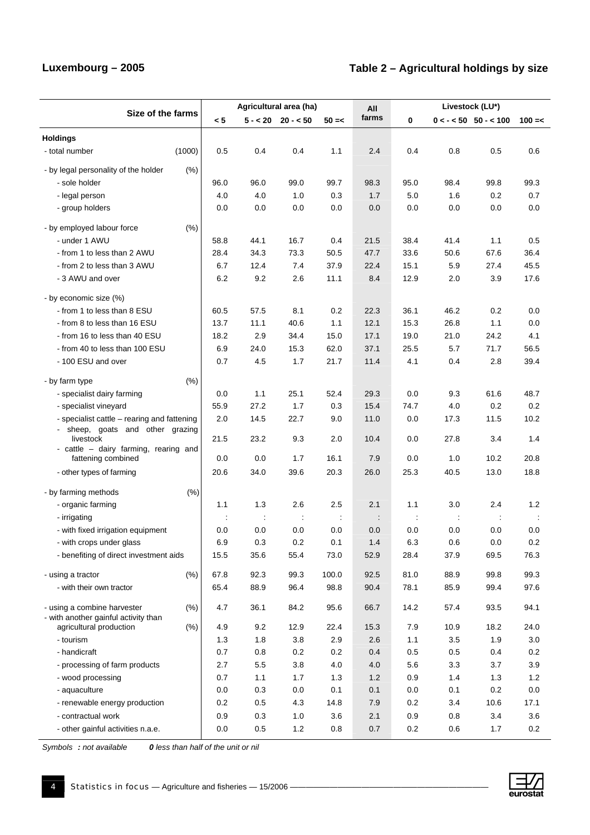### Luxembourg – 2005 **Table 2 – Agricultural holdings by size**

|                                                                 |                   |      | Agricultural area (ha) |                        |                | All                  | Livestock (LU*)      |                      |                           |           |
|-----------------------------------------------------------------|-------------------|------|------------------------|------------------------|----------------|----------------------|----------------------|----------------------|---------------------------|-----------|
|                                                                 | Size of the farms | < 5  |                        | $5 - < 20$ 20 - $< 50$ | $50 = <$       | farms                | 0                    |                      | $0 < - < 50$ 50 - $< 100$ | $100 = <$ |
| <b>Holdings</b>                                                 |                   |      |                        |                        |                |                      |                      |                      |                           |           |
| - total number                                                  | (1000)            | 0.5  | 0.4                    | 0.4                    | 1.1            | 2.4                  | 0.4                  | 0.8                  | 0.5                       | 0.6       |
| - by legal personality of the holder                            | (% )              |      |                        |                        |                |                      |                      |                      |                           |           |
| - sole holder                                                   |                   | 96.0 | 96.0                   | 99.0                   | 99.7           | 98.3                 | 95.0                 | 98.4                 | 99.8                      | 99.3      |
| - legal person                                                  |                   | 4.0  | 4.0                    | 1.0                    | 0.3            | 1.7                  | 5.0                  | 1.6                  | 0.2                       | 0.7       |
| - group holders                                                 |                   | 0.0  | 0.0                    | 0.0                    | 0.0            | 0.0                  | 0.0                  | 0.0                  | 0.0                       | 0.0       |
| - by employed labour force                                      | (% )              |      |                        |                        |                |                      |                      |                      |                           |           |
| - under 1 AWU                                                   |                   | 58.8 | 44.1                   | 16.7                   | 0.4            | 21.5                 | 38.4                 | 41.4                 | 1.1                       | 0.5       |
| - from 1 to less than 2 AWU                                     |                   | 28.4 | 34.3                   | 73.3                   | 50.5           | 47.7                 | 33.6                 | 50.6                 | 67.6                      | 36.4      |
| - from 2 to less than 3 AWU                                     |                   | 6.7  | 12.4                   | 7.4                    | 37.9           | 22.4                 | 15.1                 | 5.9                  | 27.4                      | 45.5      |
| - 3 AWU and over                                                |                   | 6.2  | 9.2                    | 2.6                    | 11.1           | 8.4                  | 12.9                 | 2.0                  | 3.9                       | 17.6      |
| - by economic size (%)                                          |                   |      |                        |                        |                |                      |                      |                      |                           |           |
| - from 1 to less than 8 ESU                                     |                   | 60.5 | 57.5                   | 8.1                    | 0.2            | 22.3                 | 36.1                 | 46.2                 | 0.2                       | 0.0       |
| - from 8 to less than 16 ESU                                    |                   | 13.7 | 11.1                   | 40.6                   | 1.1            | 12.1                 | 15.3                 | 26.8                 | 1.1                       | 0.0       |
| - from 16 to less than 40 ESU                                   |                   | 18.2 | 2.9                    | 34.4                   | 15.0           | 17.1                 | 19.0                 | 21.0                 | 24.2                      | 4.1       |
| - from 40 to less than 100 ESU                                  |                   | 6.9  | 24.0                   | 15.3                   | 62.0           | 37.1                 | 25.5                 | 5.7                  | 71.7                      | 56.5      |
| - 100 ESU and over                                              |                   | 0.7  | 4.5                    | 1.7                    | 21.7           | 11.4                 | 4.1                  | 0.4                  | 2.8                       | 39.4      |
| - by farm type                                                  | (% )              |      |                        |                        |                |                      |                      |                      |                           |           |
| - specialist dairy farming                                      |                   | 0.0  | 1.1                    | 25.1                   | 52.4           | 29.3                 | 0.0                  | 9.3                  | 61.6                      | 48.7      |
| - specialist vineyard                                           |                   | 55.9 | 27.2                   | 1.7                    | 0.3            | 15.4                 | 74.7                 | 4.0                  | 0.2                       | 0.2       |
| - specialist cattle – rearing and fattening                     |                   | 2.0  | 14.5                   | 22.7                   | 9.0            | 11.0                 | 0.0                  | 17.3                 | 11.5                      | 10.2      |
| - sheep, goats and other grazing<br>livestock                   |                   | 21.5 | 23.2                   | 9.3                    | 2.0            | 10.4                 | 0.0                  | 27.8                 | 3.4                       | 1.4       |
| - cattle - dairy farming, rearing and<br>fattening combined     |                   | 0.0  | 0.0                    | 1.7                    | 16.1           | 7.9                  | 0.0                  | 1.0                  | 10.2                      | 20.8      |
| - other types of farming                                        |                   | 20.6 | 34.0                   | 39.6                   | 20.3           | 26.0                 | 25.3                 | 40.5                 | 13.0                      | 18.8      |
| - by farming methods                                            | (% )              |      |                        |                        |                |                      |                      |                      |                           |           |
| - organic farming                                               |                   | 1.1  | 1.3                    | 2.6                    | 2.5            | 2.1                  | 1.1                  | 3.0                  | 2.4                       | 1.2       |
| - irrigating                                                    |                   | ÷    |                        |                        | $\ddot{\cdot}$ | $\ddot{\phantom{a}}$ | $\ddot{\phantom{a}}$ | $\ddot{\phantom{a}}$ | $\ddot{\phantom{a}}$      |           |
| - with fixed irrigation equipment                               |                   | 0.0  | 0.0                    | 0.0                    | 0.0            | 0.0                  | 0.0                  | 0.0                  | 0.0                       | 0.0       |
| - with crops under glass                                        |                   | 6.9  | 0.3                    | 0.2                    | 0.1            | 1.4                  | 6.3                  | 0.6                  | 0.0                       | 0.2       |
| - benefiting of direct investment aids                          |                   | 15.5 | 35.6                   | 55.4                   | 73.0           | 52.9                 | 28.4                 | 37.9                 | 69.5                      | 76.3      |
| - using a tractor                                               | (%)               | 67.8 | 92.3                   | 99.3                   | 100.0          | 92.5                 | 81.0                 | 88.9                 | 99.8                      | 99.3      |
| - with their own tractor                                        |                   | 65.4 | 88.9                   | 96.4                   | 98.8           | 90.4                 | 78.1                 | 85.9                 | 99.4                      | 97.6      |
| - using a combine harvester                                     | (%)               | 4.7  | 36.1                   | 84.2                   | 95.6           | 66.7                 | 14.2                 | 57.4                 | 93.5                      | 94.1      |
| - with another gainful activity than<br>agricultural production | (% )              | 4.9  | 9.2                    | 12.9                   | 22.4           | 15.3                 | 7.9                  | 10.9                 | 18.2                      | 24.0      |
| - tourism                                                       |                   | 1.3  | 1.8                    | 3.8                    | 2.9            | 2.6                  | 1.1                  | 3.5                  | 1.9                       | $3.0\,$   |
| - handicraft                                                    |                   | 0.7  | 0.8                    | 0.2                    | 0.2            | 0.4                  | 0.5                  | 0.5                  | 0.4                       | 0.2       |
| - processing of farm products                                   |                   | 2.7  | 5.5                    | 3.8                    | 4.0            | $4.0\,$              | 5.6                  | 3.3                  | 3.7                       | 3.9       |
| - wood processing                                               |                   | 0.7  | 1.1                    | 1.7                    | 1.3            | 1.2                  | 0.9                  | 1.4                  | 1.3                       | $1.2$     |
| - aquaculture                                                   |                   | 0.0  | 0.3                    | 0.0                    | 0.1            | 0.1                  | 0.0                  | 0.1                  | 0.2                       | 0.0       |
| - renewable energy production                                   |                   | 0.2  | 0.5                    | 4.3                    | 14.8           | 7.9                  | 0.2                  | 3.4                  | 10.6                      | 17.1      |
| - contractual work                                              |                   | 0.9  | 0.3                    | 1.0                    | 3.6            | 2.1                  | 0.9                  | 0.8                  | 3.4                       | 3.6       |
| - other gainful activities n.a.e.                               |                   | 0.0  | $0.5\,$                | $1.2$                  | 0.8            | 0.7                  | $0.2\,$              | 0.6                  | 1.7                       | 0.2       |

*Symbols : not available 0 less than half of the unit or nil*

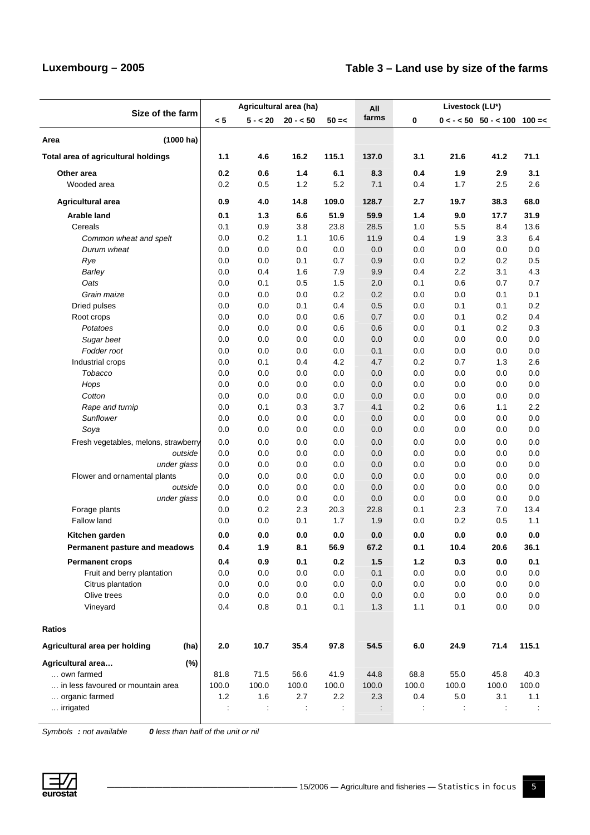### **Luxembourg – 2005 Table 3 – Land use by size of the farms**

|                                       |                      | Agricultural area (ha) |                        |          | All   | Livestock (LU*) |                      |                                     |         |
|---------------------------------------|----------------------|------------------------|------------------------|----------|-------|-----------------|----------------------|-------------------------------------|---------|
| Size of the farm                      | < 5                  |                        | $5 - < 20$ 20 - $< 50$ | $50 = <$ | farms | 0               |                      | $0 < - < 50$ 50 - $< 100$ 100 = $<$ |         |
| Area<br>$(1000)$ ha)                  |                      |                        |                        |          |       |                 |                      |                                     |         |
| Total area of agricultural holdings   | 1.1                  | 4.6                    | 16.2                   | 115.1    | 137.0 | 3.1             | 21.6                 | 41.2                                | 71.1    |
| Other area                            | 0.2                  | 0.6                    | $1.4$                  | 6.1      | 8.3   | 0.4             | 1.9                  | 2.9                                 | 3.1     |
| Wooded area                           | 0.2                  | 0.5                    | 1.2                    | 5.2      | 7.1   | 0.4             | 1.7                  | 2.5                                 | 2.6     |
| Agricultural area                     | 0.9                  | 4.0                    | 14.8                   | 109.0    | 128.7 | 2.7             | 19.7                 | 38.3                                | 68.0    |
| <b>Arable land</b>                    | 0.1                  | $1.3$                  | 6.6                    | 51.9     | 59.9  | 1.4             | 9.0                  | 17.7                                | 31.9    |
| Cereals                               | 0.1                  | 0.9                    | 3.8                    | 23.8     | 28.5  | 1.0             | 5.5                  | 8.4                                 | 13.6    |
| Common wheat and spelt                | 0.0                  | 0.2                    | 1.1                    | 10.6     | 11.9  | 0.4             | 1.9                  | 3.3                                 | 6.4     |
| Durum wheat                           | 0.0                  | 0.0                    | 0.0                    | 0.0      | 0.0   | 0.0             | 0.0                  | 0.0                                 | 0.0     |
| Rye                                   | 0.0                  | 0.0                    | 0.1                    | 0.7      | 0.9   | 0.0             | 0.2                  | 0.2                                 | 0.5     |
| Barley                                | 0.0                  | 0.4                    | 1.6                    | 7.9      | 9.9   | 0.4             | 2.2                  | 3.1                                 | 4.3     |
| Oats                                  | 0.0                  | 0.1                    | 0.5                    | 1.5      | 2.0   | 0.1             | 0.6                  | 0.7                                 | 0.7     |
| Grain maize                           | 0.0                  | 0.0                    | 0.0                    | 0.2      | 0.2   | 0.0             | 0.0                  | 0.1                                 | 0.1     |
| Dried pulses                          | 0.0                  | 0.0                    | 0.1                    | 0.4      | 0.5   | 0.0             | 0.1                  | 0.1                                 | 0.2     |
| Root crops                            | 0.0                  | 0.0                    | 0.0                    | 0.6      | 0.7   | 0.0             | 0.1                  | 0.2                                 | 0.4     |
| Potatoes                              | 0.0                  | 0.0                    | 0.0                    | 0.6      | 0.6   | 0.0             | 0.1                  | 0.2                                 | 0.3     |
| Sugar beet                            | 0.0                  | 0.0                    | 0.0                    | 0.0      | 0.0   | 0.0             | 0.0                  | 0.0                                 | 0.0     |
| Fodder root                           | 0.0                  | 0.0                    | 0.0                    | 0.0      | 0.1   | 0.0             | 0.0                  | 0.0                                 | 0.0     |
| Industrial crops                      | 0.0                  | 0.1                    | 0.4                    | 4.2      | 4.7   | 0.2             | 0.7                  | 1.3                                 | 2.6     |
| Tobacco                               | 0.0                  | 0.0                    | 0.0                    | 0.0      | 0.0   | 0.0             | 0.0                  | 0.0                                 | 0.0     |
| Hops                                  | 0.0                  | 0.0                    | 0.0                    | 0.0      | 0.0   | 0.0             | 0.0                  | 0.0                                 | 0.0     |
| Cotton                                | 0.0                  | 0.0                    | 0.0                    | 0.0      | 0.0   | 0.0             | 0.0                  | 0.0                                 | 0.0     |
| Rape and turnip                       | 0.0                  | 0.1                    | 0.3                    | 3.7      | 4.1   | 0.2             | 0.6                  | 1.1                                 | 2.2     |
| Sunflower                             | 0.0                  | 0.0                    | 0.0                    | 0.0      | 0.0   | 0.0             | 0.0                  | 0.0                                 | 0.0     |
| Soya                                  | 0.0                  | 0.0                    | 0.0                    | 0.0      | 0.0   | 0.0             | 0.0                  | 0.0                                 | 0.0     |
| Fresh vegetables, melons, strawberry  | 0.0                  | 0.0                    | 0.0                    | 0.0      | 0.0   | 0.0             | 0.0                  | 0.0                                 | 0.0     |
| outside                               | 0.0                  | 0.0                    | 0.0                    | 0.0      | 0.0   | 0.0             | 0.0                  | 0.0                                 | 0.0     |
| under glass                           | 0.0                  | 0.0                    | 0.0                    | 0.0      | 0.0   | 0.0             | 0.0                  | 0.0                                 | 0.0     |
| Flower and ornamental plants          | 0.0                  | 0.0                    | 0.0                    | 0.0      | 0.0   | 0.0             | 0.0                  | 0.0                                 | 0.0     |
| outside                               | 0.0                  | 0.0                    | 0.0                    | 0.0      | 0.0   | 0.0             | 0.0                  | 0.0                                 | 0.0     |
| under glass                           | 0.0                  | 0.0                    | 0.0                    | 0.0      | 0.0   | 0.0             | 0.0                  | 0.0                                 | 0.0     |
| Forage plants                         | 0.0                  | 0.2                    | 2.3                    | 20.3     | 22.8  | 0.1             | 2.3                  | 7.0                                 | 13.4    |
| Fallow land                           | 0.0                  | 0.0                    | 0.1                    | 1.7      | 1.9   | 0.0             | 0.2                  | 0.5                                 | 1.1     |
| Kitchen garden                        | 0.0                  | 0.0                    | 0.0                    | 0.0      | 0.0   | 0.0             | 0.0                  | 0.0                                 | 0.0     |
| Permanent pasture and meadows         | 0.4                  | 1.9                    | 8.1                    | 56.9     | 67.2  | 0.1             | 10.4                 | 20.6                                | 36.1    |
| <b>Permanent crops</b>                | 0.4                  | 0.9                    | 0.1                    | 0.2      | 1.5   | $1.2$           | 0.3                  | $0.0\,$                             | 0.1     |
| Fruit and berry plantation            | 0.0                  | 0.0                    | 0.0                    | 0.0      | 0.1   | 0.0             | 0.0                  | 0.0                                 | 0.0     |
| Citrus plantation                     | 0.0                  | 0.0                    | 0.0                    | 0.0      | 0.0   | 0.0             | 0.0                  | 0.0                                 | 0.0     |
| Olive trees                           | 0.0                  | 0.0                    | 0.0                    | 0.0      | 0.0   | $0.0\,$         | $0.0\,$              | 0.0                                 | 0.0     |
| Vineyard                              | 0.4                  | 0.8                    | 0.1                    | 0.1      | 1.3   | 1.1             | 0.1                  | 0.0                                 | $0.0\,$ |
| Ratios                                |                      |                        |                        |          |       |                 |                      |                                     |         |
| Agricultural area per holding<br>(ha) | 2.0                  | 10.7                   | 35.4                   | 97.8     | 54.5  | $6.0\,$         | 24.9                 | 71.4                                | 115.1   |
| (%)<br>Agricultural area              |                      |                        |                        |          |       |                 |                      |                                     |         |
| own farmed                            | 81.8                 | 71.5                   | 56.6                   | 41.9     | 44.8  | 68.8            | 55.0                 | 45.8                                | 40.3    |
| in less favoured or mountain area     | 100.0                | 100.0                  | 100.0                  | 100.0    | 100.0 | 100.0           | 100.0                | 100.0                               | 100.0   |
| organic farmed                        | $1.2$                | 1.6                    | 2.7                    | $2.2\,$  | 2.3   | 0.4             | $5.0\,$              | 3.1                                 | $1.1$   |
| irrigated                             | $\ddot{\phantom{a}}$ | ÷                      | $\ddot{\cdot}$         | t,       | ÷     | t,              | $\ddot{\phantom{a}}$ | $\ddot{\cdot}$                      | ÷       |

*Symbols : not available 0 less than half of the unit or nil*

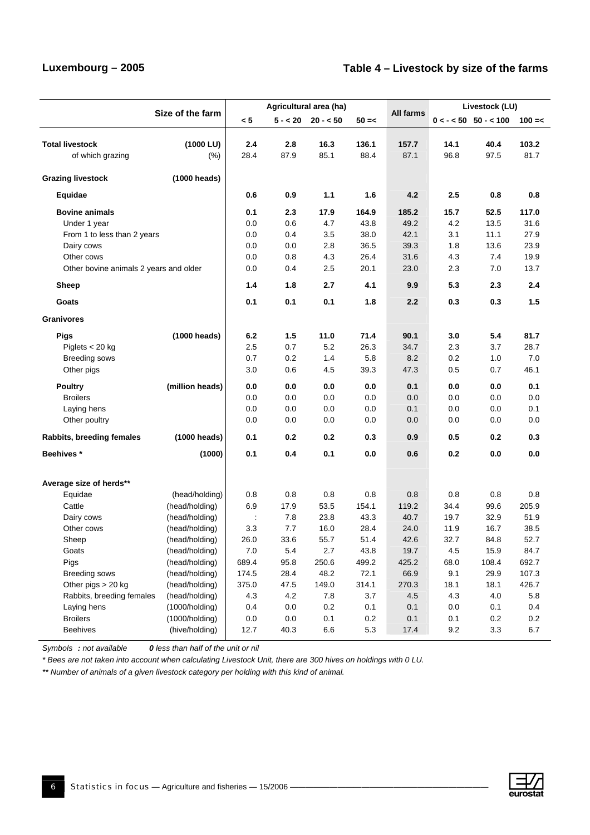#### **Luxembourg – 2005 Table 4 – Livestock by size of the farms**

|                                        |                                  |                      |             | Agricultural area (ha) |          |              | Livestock (LU) |                           |              |  |
|----------------------------------------|----------------------------------|----------------------|-------------|------------------------|----------|--------------|----------------|---------------------------|--------------|--|
|                                        | Size of the farm                 | < 5                  |             | $5 - < 20$ 20 - $< 50$ | $50 = <$ | All farms    |                | $0 < - < 50$ 50 - $< 100$ | $100 = <$    |  |
|                                        |                                  |                      |             |                        |          |              |                |                           |              |  |
| <b>Total livestock</b>                 | (1000 LU)                        | 2.4                  | 2.8         | 16.3                   | 136.1    | 157.7        | 14.1           | 40.4                      | 103.2        |  |
| of which grazing                       | (% )                             | 28.4                 | 87.9        | 85.1                   | 88.4     | 87.1         | 96.8           | 97.5                      | 81.7         |  |
| <b>Grazing livestock</b>               | (1000 heads)                     |                      |             |                        |          |              |                |                           |              |  |
| Equidae                                |                                  | 0.6                  | 0.9         | 1.1                    | 1.6      | 4.2          | 2.5            | 0.8                       | 0.8          |  |
| <b>Bovine animals</b>                  |                                  | 0.1                  | 2.3         | 17.9                   | 164.9    | 185.2        | 15.7           | 52.5                      | 117.0        |  |
| Under 1 year                           |                                  | 0.0                  | 0.6         | 4.7                    | 43.8     | 49.2         | 4.2            | 13.5                      | 31.6         |  |
| From 1 to less than 2 years            |                                  | 0.0                  | 0.4         | 3.5                    | 38.0     | 42.1         | 3.1            | 11.1                      | 27.9         |  |
| Dairy cows                             |                                  | 0.0                  | 0.0         | 2.8                    | 36.5     | 39.3         | 1.8            | 13.6                      | 23.9         |  |
| Other cows                             |                                  | 0.0                  | 0.8         | 4.3                    | 26.4     | 31.6         | 4.3            | 7.4                       | 19.9         |  |
| Other bovine animals 2 years and older |                                  | 0.0                  | 0.4         | 2.5                    | 20.1     | 23.0         | 2.3            | 7.0                       | 13.7         |  |
| Sheep                                  |                                  | 1.4                  | 1.8         | 2.7                    | 4.1      | 9.9          | 5.3            | 2.3                       | 2.4          |  |
| Goats                                  |                                  | 0.1                  | 0.1         | 0.1                    | 1.8      | 2.2          | 0.3            | 0.3                       | 1.5          |  |
| <b>Granivores</b>                      |                                  |                      |             |                        |          |              |                |                           |              |  |
| <b>Pigs</b>                            | (1000 heads)                     | 6.2                  | 1.5         | 11.0                   | 71.4     | 90.1         | 3.0            | 5.4                       | 81.7         |  |
| Piglets $<$ 20 kg                      |                                  | 2.5                  | $0.7\,$     | 5.2                    | 26.3     | 34.7         | 2.3            | 3.7                       | 28.7         |  |
| <b>Breeding sows</b>                   |                                  | 0.7                  | 0.2         | 1.4                    | 5.8      | 8.2          | 0.2            | 1.0                       | 7.0          |  |
| Other pigs                             |                                  | 3.0                  | 0.6         | 4.5                    | 39.3     | 47.3         | 0.5            | 0.7                       | 46.1         |  |
| <b>Poultry</b>                         | (million heads)                  | 0.0                  | 0.0         | 0.0                    | 0.0      | 0.1          | 0.0            | 0.0                       | 0.1          |  |
| <b>Broilers</b>                        |                                  | 0.0                  | 0.0         | 0.0                    | 0.0      | 0.0          | 0.0            | 0.0                       | 0.0          |  |
| Laying hens                            |                                  | 0.0                  | 0.0         | 0.0                    | 0.0      | 0.1          | 0.0            | 0.0                       | 0.1          |  |
| Other poultry                          |                                  | 0.0                  | 0.0         | 0.0                    | 0.0      | 0.0          | 0.0            | 0.0                       | 0.0          |  |
| Rabbits, breeding females              | (1000 heads)                     | 0.1                  | 0.2         | 0.2                    | 0.3      | 0.9          | 0.5            | 0.2                       | 0.3          |  |
| <b>Beehives</b> *                      | (1000)                           | 0.1                  | 0.4         | 0.1                    | 0.0      | 0.6          | 0.2            | 0.0                       | 0.0          |  |
|                                        |                                  |                      |             |                        |          |              |                |                           |              |  |
| Average size of herds**                |                                  |                      |             |                        |          |              |                |                           |              |  |
| Equidae                                | (head/holding)                   | 0.8                  | 0.8         | 0.8                    | 0.8      | 0.8          | 0.8            | 0.8                       | 0.8          |  |
| Cattle                                 | (head/holding)                   | 6.9                  | 17.9        | 53.5                   | 154.1    | 119.2        | 34.4           | 99.6                      | 205.9        |  |
| Dairy cows                             | (head/holding)                   | $\ddot{\phantom{a}}$ | 7.8         | 23.8                   | 43.3     | 40.7         | 19.7           | 32.9                      | 51.9         |  |
| Other cows                             | (head/holding)<br>(head/holding) | 3.3<br>26.0          | 7.7<br>33.6 | 16.0<br>55.7           | 28.4     | 24.0<br>42.6 | 11.9<br>32.7   | 16.7                      | 38.5<br>52.7 |  |
| Sheep                                  |                                  |                      |             |                        | 51.4     |              |                | 84.8                      |              |  |
| Goats                                  | (head/holding)                   | 7.0                  | 5.4         | 2.7                    | 43.8     | 19.7         | 4.5            | 15.9                      | 84.7         |  |
| Pigs                                   | (head/holding)                   | 689.4                | 95.8        | 250.6                  | 499.2    | 425.2        | 68.0           | 108.4                     | 692.7        |  |
| <b>Breeding sows</b>                   | (head/holding)                   | 174.5<br>375.0       | 28.4        | 48.2                   | 72.1     | 66.9         | 9.1            | 29.9                      | 107.3        |  |
| Other pigs > 20 kg                     | (head/holding)<br>(head/holding) |                      | 47.5        | 149.0                  | 314.1    | 270.3        | 18.1           | 18.1                      | 426.7        |  |
| Rabbits, breeding females              |                                  | 4.3                  | $4.2\,$     | $7.8$                  | 3.7      | 4.5          | 4.3            | 4.0                       | 5.8<br>0.4   |  |
| Laying hens<br><b>Broilers</b>         | (1000/holding)                   | 0.4                  | 0.0         | 0.2<br>0.1             | 0.1      | 0.1          | 0.0            | 0.1                       | 0.2          |  |
|                                        | (1000/holding)                   | 0.0                  | 0.0         |                        | 0.2      | 0.1          | 0.1            | 0.2                       |              |  |
| <b>Beehives</b>                        | (hive/holding)                   | 12.7                 | 40.3        | 6.6                    | 5.3      | 17.4         | 9.2            | 3.3                       | 6.7          |  |

*Symbols : not available 0 less than half of the unit or nil* 

*\* Bees are not taken into account when calculating Livestock Unit, there are 300 hives on holdings with 0 LU.* 

*\*\* Number of animals of a given livestock category per holding with this kind of animal.* 

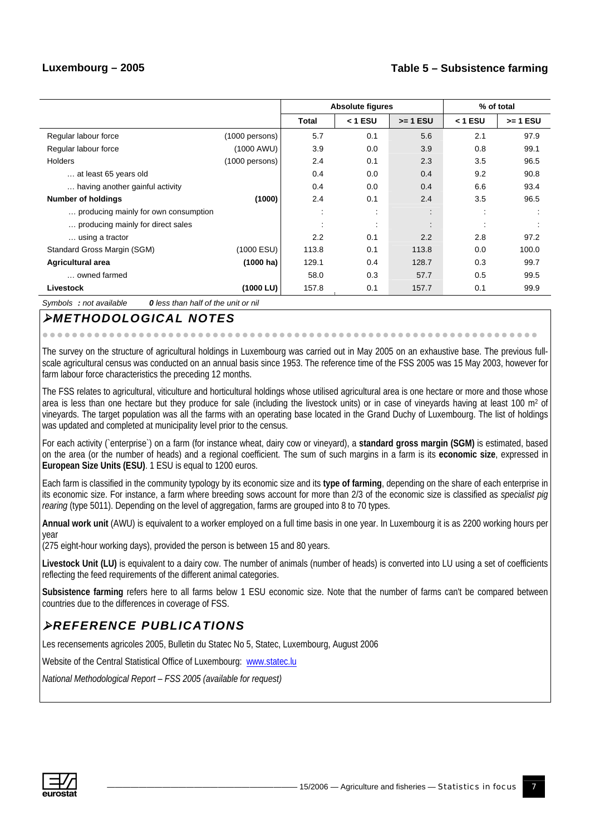#### **Luxembourg – 2005 Table 5 – Subsistence farming**

|                                      |                  | <b>Absolute figures</b> | % of total                |                           |                |            |
|--------------------------------------|------------------|-------------------------|---------------------------|---------------------------|----------------|------------|
|                                      |                  | <b>Total</b>            | $< 1$ ESU                 | $>= 1$ ESU                | $<$ 1 ESU      | $>= 1$ ESU |
| Regular labour force                 | $(1000$ persons) | 5.7                     | 0.1                       | 5.6                       | 2.1            | 97.9       |
| Regular labour force                 | (1000 AWU)       | 3.9                     | 0.0                       | 3.9                       | 0.8            | 99.1       |
| <b>Holders</b>                       | $(1000$ persons) | 2.4                     | 0.1                       | 2.3                       | 3.5            | 96.5       |
| at least 65 years old                |                  | 0.4                     | 0.0                       | 0.4                       | 9.2            | 90.8       |
| having another gainful activity      |                  | 0.4                     | 0.0                       | 0.4                       | 6.6            | 93.4       |
| <b>Number of holdings</b>            | (1000)           | 2.4                     | 0.1                       | 2.4                       | 3.5            | 96.5       |
| producing mainly for own consumption |                  |                         | $\bullet$<br>$\mathbf{r}$ | $\bullet$<br>$\mathbf{r}$ | $\bullet$      |            |
| producing mainly for direct sales    |                  |                         | $\bullet$<br>$\sim$       | $\bullet$                 | $\blacksquare$ |            |
| using a tractor                      |                  | 2.2                     | 0.1                       | 2.2                       | 2.8            | 97.2       |
| Standard Gross Margin (SGM)          | (1000 ESU)       | 113.8                   | 0.1                       | 113.8                     | 0.0            | 100.0      |
| <b>Agricultural area</b>             | (1000 ha)        | 129.1                   | 0.4                       | 128.7                     | 0.3            | 99.7       |
| owned farmed                         |                  | 58.0                    | 0.3                       | 57.7                      | 0.5            | 99.5       |
| Livestock                            | (1000 LU)        | 157.8                   | 0.1                       | 157.7                     | 0.1            | 99.9       |

*Symbols : not available 0 less than half of the unit or nil*

### ¾*METHODOLOGICAL NOTES*

The survey on the structure of agricultural holdings in Luxembourg was carried out in May 2005 on an exhaustive base. The previous fullscale agricultural census was conducted on an annual basis since 1953. The reference time of the FSS 2005 was 15 May 2003, however for farm labour force characteristics the preceding 12 months.

zzzzzzzzzzzzzzzzzzzzzzzzzzzzzzzzzzzzzzzzzzzzzzzzzzzzzzzzzzzzzzz zzzz

The FSS relates to agricultural, viticulture and horticultural holdings whose utilised agricultural area is one hectare or more and those whose area is less than one hectare but they produce for sale (including the livestock units) or in case of vineyards having at least 100 m<sup>2</sup> of vineyards. The target population was all the farms with an operating base located in the Grand Duchy of Luxembourg. The list of holdings was updated and completed at municipality level prior to the census.

For each activity (`enterprise`) on a farm (for instance wheat, dairy cow or vineyard), a **standard gross margin (SGM)** is estimated, based on the area (or the number of heads) and a regional coefficient. The sum of such margins in a farm is its **economic size**, expressed in **European Size Units (ESU)**. 1 ESU is equal to 1200 euros.

Each farm is classified in the community typology by its economic size and its **type of farming**, depending on the share of each enterprise in its economic size. For instance, a farm where breeding sows account for more than 2/3 of the economic size is classified as *specialist pig rearing* (type 5011). Depending on the level of aggregation, farms are grouped into 8 to 70 types.

**Annual work unit** (AWU) is equivalent to a worker employed on a full time basis in one year. In Luxembourg it is as 2200 working hours per year

(275 eight-hour working days), provided the person is between 15 and 80 years.

Livestock Unit (LU) is equivalent to a dairy cow. The number of animals (number of heads) is converted into LU using a set of coefficients reflecting the feed requirements of the different animal categories.

**Subsistence farming** refers here to all farms below 1 ESU economic size. Note that the number of farms can't be compared between countries due to the differences in coverage of FSS.

### ¾*REFERENCE PUBLICATIONS*

Les recensements agricoles 2005, Bulletin du Statec No 5, Statec, Luxembourg, August 2006

Website of the Central Statistical Office of Luxembourg: [www.statec.lu](http://www.statec.lu/)

*National Methodological Report – FSS 2005 (available for request)*